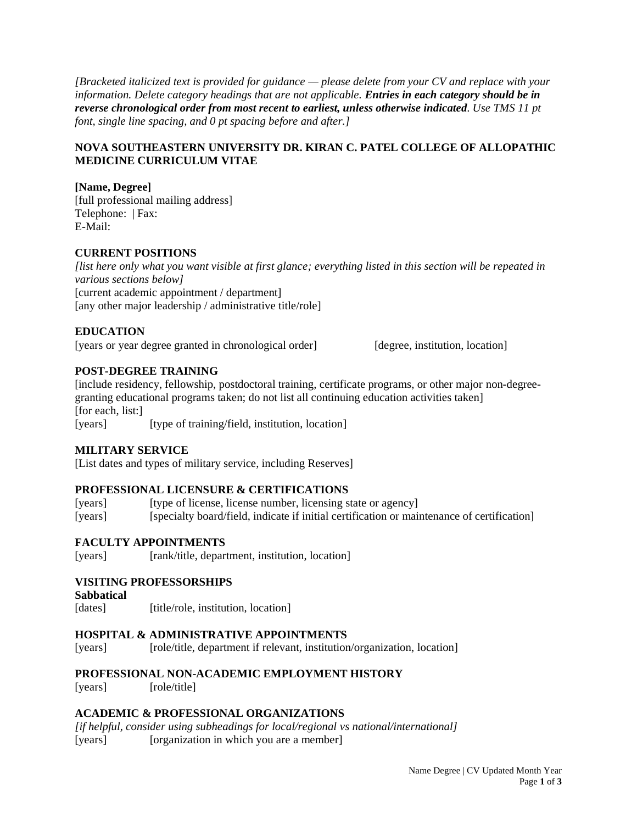*[Bracketed italicized text is provided for guidance — please delete from your CV and replace with your information. Delete category headings that are not applicable. Entries in each category should be in reverse chronological order from most recent to earliest, unless otherwise indicated. Use TMS 11 pt font, single line spacing, and 0 pt spacing before and after.]*

# **NOVA SOUTHEASTERN UNIVERSITY DR. KIRAN C. PATEL COLLEGE OF ALLOPATHIC MEDICINE CURRICULUM VITAE**

**[Name, Degree]** [full professional mailing address] Telephone: | Fax: E-Mail:

# **CURRENT POSITIONS**

*[list here only what you want visible at first glance; everything listed in this section will be repeated in various sections below]* [current academic appointment / department] [any other major leadership / administrative title/role]

# **EDUCATION**

[years or year degree granted in chronological order] [degree, institution, location]

# **POST-DEGREE TRAINING**

[include residency, fellowship, postdoctoral training, certificate programs, or other major non-degreegranting educational programs taken; do not list all continuing education activities taken] [for each, list:] [years] [type of training/field, institution, location]

# **MILITARY SERVICE**

[List dates and types of military service, including Reserves]

# **PROFESSIONAL LICENSURE & CERTIFICATIONS**

[vears] [type of license, license number, licensing state or agency] [years] [specialty board/field, indicate if initial certification or maintenance of certification]

# **FACULTY APPOINTMENTS**

[years] [rank/title, department, institution, location]

# **VISITING PROFESSORSHIPS**

**Sabbatical**

[dates] [title/role, institution, location]

# **HOSPITAL & ADMINISTRATIVE APPOINTMENTS**

[years] [role/title, department if relevant, institution/organization, location]

# **PROFESSIONAL NON-ACADEMIC EMPLOYMENT HISTORY**

[years] [role/title]

# **ACADEMIC & PROFESSIONAL ORGANIZATIONS**

*[if helpful, consider using subheadings for local/regional vs national/international]* [years] [organization in which you are a member]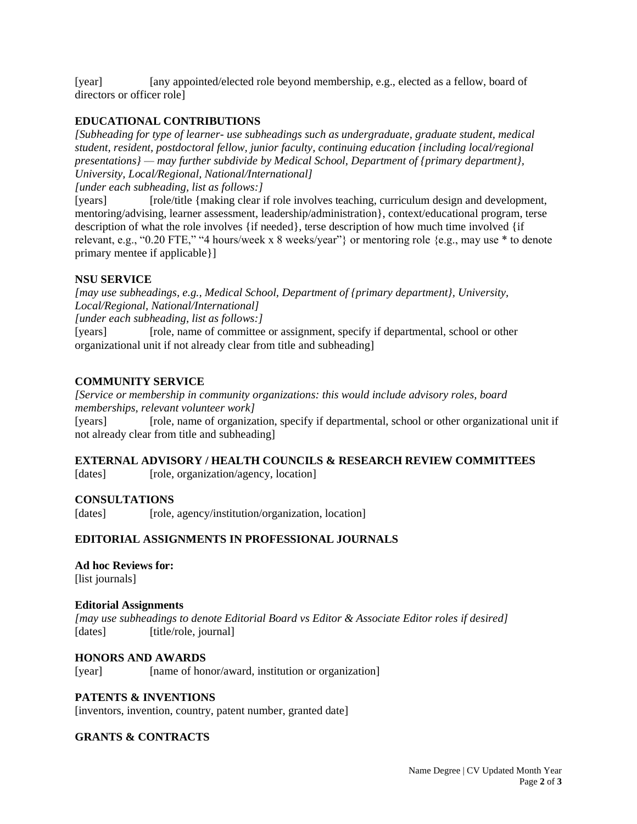[year] [any appointed/elected role beyond membership, e.g., elected as a fellow, board of directors or officer role]

# **EDUCATIONAL CONTRIBUTIONS**

*[Subheading for type of learner- use subheadings such as undergraduate, graduate student, medical student, resident, postdoctoral fellow, junior faculty, continuing education {including local/regional presentations} — may further subdivide by Medical School, Department of {primary department}, University, Local/Regional, National/International]*

*[under each subheading, list as follows:]*

[years] [role/title {making clear if role involves teaching, curriculum design and development, mentoring/advising, learner assessment, leadership/administration}, context/educational program, terse description of what the role involves {if needed}, terse description of how much time involved {if relevant, e.g., "0.20 FTE," "4 hours/week x 8 weeks/year"} or mentoring role {e.g., may use \* to denote primary mentee if applicable}]

# **NSU SERVICE**

*[may use subheadings, e.g., Medical School, Department of {primary department}, University, Local/Regional, National/International] [under each subheading, list as follows:]*

[years] [role, name of committee or assignment, specify if departmental, school or other organizational unit if not already clear from title and subheading]

#### **COMMUNITY SERVICE**

*[Service or membership in community organizations: this would include advisory roles, board memberships, relevant volunteer work]*

[years] [role, name of organization, specify if departmental, school or other organizational unit if not already clear from title and subheading]

# **EXTERNAL ADVISORY / HEALTH COUNCILS & RESEARCH REVIEW COMMITTEES**

[dates] [role, organization/agency, location]

# **CONSULTATIONS**

[dates] [role, agency/institution/organization, location]

# **EDITORIAL ASSIGNMENTS IN PROFESSIONAL JOURNALS**

**Ad hoc Reviews for:** [list journals]

#### **Editorial Assignments**

*[may use subheadings to denote Editorial Board vs Editor & Associate Editor roles if desired]* [dates] [title/role, journal]

# **HONORS AND AWARDS**

[year] [name of honor/award, institution or organization]

#### **PATENTS & INVENTIONS**

[inventors, invention, country, patent number, granted date]

#### **GRANTS & CONTRACTS**